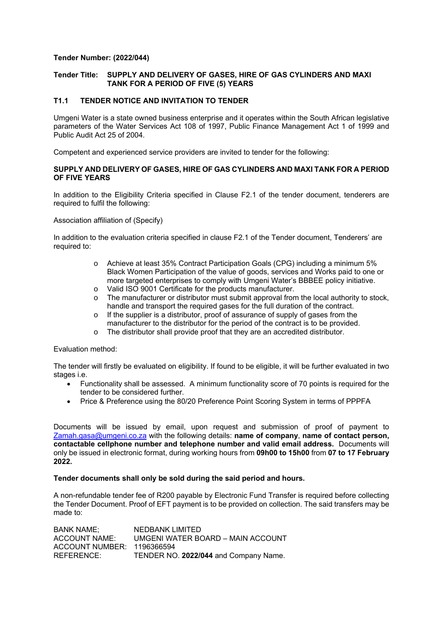# **Tender Number: (2022/044)**

## **Tender Title: SUPPLY AND DELIVERY OF GASES, HIRE OF GAS CYLINDERS AND MAXI** **TANK FOR A PERIOD OF FIVE (5) YEARS**

# **T1.1 TENDER NOTICE AND INVITATION TO TENDER**

Umgeni Water is a state owned business enterprise and it operates within the South African legislative parameters of the Water Services Act 108 of 1997, Public Finance Management Act 1 of 1999 and Public Audit Act 25 of 2004.

Competent and experienced service providers are invited to tender for the following:

### **SUPPLY AND DELIVERY OF GASES, HIRE OF GAS CYLINDERS AND MAXI TANK FOR A PERIOD OF FIVE YEARS**

In addition to the Eligibility Criteria specified in Clause F2.1 of the tender document, tenderers are required to fulfil the following:

Association affiliation of (Specify)

In addition to the evaluation criteria specified in clause F2.1 of the Tender document, Tenderers' are required to:

- o Achieve at least 35% Contract Participation Goals (CPG) including a minimum 5% Black Women Participation of the value of goods, services and Works paid to one or more targeted enterprises to comply with Umgeni Water's BBBEE policy initiative.
- o Valid ISO 9001 Certificate for the products manufacturer.
- o The manufacturer or distributor must submit approval from the local authority to stock, handle and transport the required gases for the full duration of the contract.
- o If the supplier is a distributor, proof of assurance of supply of gases from the manufacturer to the distributor for the period of the contract is to be provided.
- o The distributor shall provide proof that they are an accredited distributor.

Evaluation method:

The tender will firstly be evaluated on eligibility. If found to be eligible, it will be further evaluated in two stages i.e.

- Functionality shall be assessed. A minimum functionality score of 70 points is required for the tender to be considered further.
- Price & Preference using the 80/20 Preference Point Scoring System in terms of PPPFA

Documents will be issued by email, upon request and submission of proof of payment to Zamah.gasa@umgeni.co.za with the following details: **name of company**, **name of contact person, contactable cellphone number and telephone number and valid email address.** Documents will only be issued in electronic format, during working hours from **09h00 to 15h00** from **07 to 17 February 2022.** 

#### **Tender documents shall only be sold during the said period and hours.**

A non-refundable tender fee of R200 payable by Electronic Fund Transfer is required before collecting the Tender Document. Proof of EFT payment is to be provided on collection. The said transfers may be made to:

BANK NAME; NEDBANK LIMITED ACCOUNT NAME: UMGENI WATER BOARD – MAIN ACCOUNT ACCOUNT NUMBER: 1196366594 REFERENCE: TENDER NO. **2022/044** and Company Name.